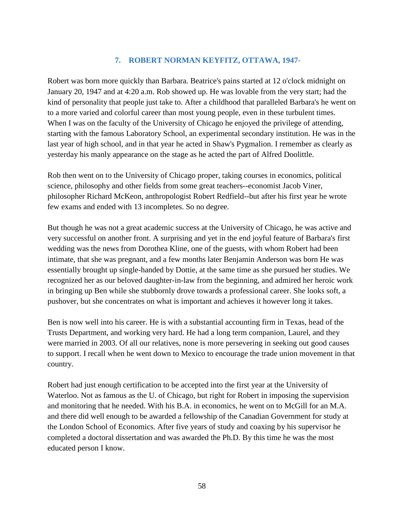## **7. ROBERT NORMAN KEYFITZ, OTTAWA, 1947-**

Robert was born more quickly than Barbara. Beatrice's pains started at 12 o'clock midnight on January 20, 1947 and at 4:20 a.m. Rob showed up. He was lovable from the very start; had the kind of personality that people just take to. After a childhood that paralleled Barbara's he went on to a more varied and colorful career than most young people, even in these turbulent times. When I was on the faculty of the University of Chicago he enjoyed the privilege of attending, starting with the famous Laboratory School, an experimental secondary institution. He was in the last year of high school, and in that year he acted in Shaw's Pygmalion. I remember as clearly as yesterday his manly appearance on the stage as he acted the part of Alfred Doolittle.

Rob then went on to the University of Chicago proper, taking courses in economics, political science, philosophy and other fields from some great teachers--economist Jacob Viner, philosopher Richard McKeon, anthropologist Robert Redfield--but after his first year he wrote few exams and ended with 13 incompletes. So no degree.

But though he was not a great academic success at the University of Chicago, he was active and very successful on another front. A surprising and yet in the end joyful feature of Barbara's first wedding was the news from Dorothea Kline, one of the guests, with whom Robert had been intimate, that she was pregnant, and a few months later Benjamin Anderson was born He was essentially brought up single-handed by Dottie, at the same time as she pursued her studies. We recognized her as our beloved daughter-in-law from the beginning, and admired her heroic work in bringing up Ben while she stubbornly drove towards a professional career. She looks soft, a pushover, but she concentrates on what is important and achieves it however long it takes.

Ben is now well into his career. He is with a substantial accounting firm in Texas, head of the Trusts Department, and working very hard. He had a long term companion, Laurel, and they were married in 2003. Of all our relatives, none is more persevering in seeking out good causes to support. I recall when he went down to Mexico to encourage the trade union movement in that country.

Robert had just enough certification to be accepted into the first year at the University of Waterloo. Not as famous as the U. of Chicago, but right for Robert in imposing the supervision and monitoring that he needed. With his B.A. in economics, he went on to McGill for an M.A. and there did well enough to be awarded a fellowship of the Canadian Government for study at the London School of Economics. After five years of study and coaxing by his supervisor he completed a doctoral dissertation and was awarded the Ph.D. By this time he was the most educated person I know.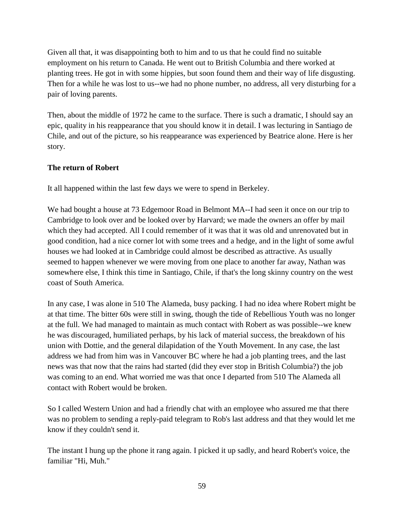Given all that, it was disappointing both to him and to us that he could find no suitable employment on his return to Canada. He went out to British Columbia and there worked at planting trees. He got in with some hippies, but soon found them and their way of life disgusting. Then for a while he was lost to us--we had no phone number, no address, all very disturbing for a pair of loving parents.

Then, about the middle of 1972 he came to the surface. There is such a dramatic, I should say an epic, quality in his reappearance that you should know it in detail. I was lecturing in Santiago de Chile, and out of the picture, so his reappearance was experienced by Beatrice alone. Here is her story.

## **The return of Robert**

It all happened within the last few days we were to spend in Berkeley.

We had bought a house at 73 Edgemoor Road in Belmont MA--I had seen it once on our trip to Cambridge to look over and be looked over by Harvard; we made the owners an offer by mail which they had accepted. All I could remember of it was that it was old and unrenovated but in good condition, had a nice corner lot with some trees and a hedge, and in the light of some awful houses we had looked at in Cambridge could almost be described as attractive. As usually seemed to happen whenever we were moving from one place to another far away, Nathan was somewhere else, I think this time in Santiago, Chile, if that's the long skinny country on the west coast of South America.

In any case, I was alone in 510 The Alameda, busy packing. I had no idea where Robert might be at that time. The bitter 60s were still in swing, though the tide of Rebellious Youth was no longer at the full. We had managed to maintain as much contact with Robert as was possible--we knew he was discouraged, humiliated perhaps, by his lack of material success, the breakdown of his union with Dottie, and the general dilapidation of the Youth Movement. In any case, the last address we had from him was in Vancouver BC where he had a job planting trees, and the last news was that now that the rains had started (did they ever stop in British Columbia?) the job was coming to an end. What worried me was that once I departed from 510 The Alameda all contact with Robert would be broken.

So I called Western Union and had a friendly chat with an employee who assured me that there was no problem to sending a reply-paid telegram to Rob's last address and that they would let me know if they couldn't send it.

The instant I hung up the phone it rang again. I picked it up sadly, and heard Robert's voice, the familiar "Hi, Muh."